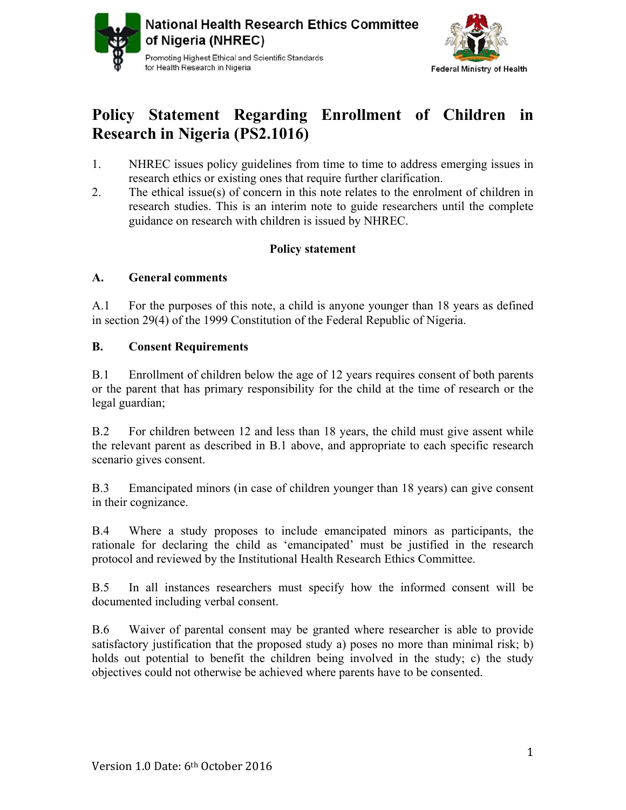



# **Policy Statement Regarding Enrollment of Children in Research in Nigeria (PS2.1016)**

- 1. NHREC issues policy guidelines from time to time to address emerging issues in research ethics or existing ones that require further clarification.
- 2. The ethical issue(s) of concern in this note relates to the enrolment of children in research studies. This is an interim note to guide researchers until the complete guidance on research with children is issued by NHREC.

## **Policy statement**

#### **A. General comments**

A.1 For the purposes of this note, a child is anyone younger than 18 years as defined in section 29(4) of the 1999 Constitution of the Federal Republic of Nigeria.

### **B. Consent Requirements**

B.1 Enrollment of children below the age of 12 years requires consent of both parents or the parent that has primary responsibility for the child at the time of research or the legal guardian;

B.2 For children between 12 and less than 18 years, the child must give assent while the relevant parent as described in B.1 above, and appropriate to each specific research scenario gives consent.

B.3 Emancipated minors (in case of children younger than 18 years) can give consent in their cognizance.

B.4 Where a study proposes to include emancipated minors as participants, the rationale for declaring the child as 'emancipated' must be justified in the research protocol and reviewed by the Institutional Health Research Ethics Committee.

B.5 In all instances researchers must specify how the informed consent will be documented including verbal consent.

B.6 Waiver of parental consent may be granted where researcher is able to provide satisfactory justification that the proposed study a) poses no more than minimal risk; b) holds out potential to benefit the children being involved in the study; c) the study objectives could not otherwise be achieved where parents have to be consented.